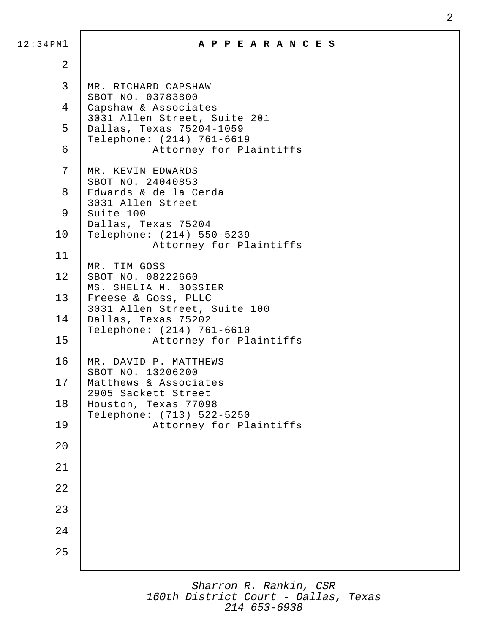| 12:34PMl       | A P P E A R A N C E S                                                                            |
|----------------|--------------------------------------------------------------------------------------------------|
| $\overline{2}$ |                                                                                                  |
| 3              | MR. RICHARD CAPSHAW<br>SBOT NO. 03783800<br>Capshaw & Associates<br>3031 Allen Street, Suite 201 |
| 4              |                                                                                                  |
| 5              | Dallas, Texas 75204-1059<br>Telephone: (214) 761-6619                                            |
| 6              | Attorney for Plaintiffs                                                                          |
| 7              | MR. KEVIN EDWARDS<br>SBOT NO. 24040853                                                           |
| 8              | Edwards & de la Cerda<br>3031 Allen Street                                                       |
| 9              | Suite 100<br>Dallas, Texas 75204                                                                 |
| 10             | Telephone: (214) 550-5239<br>Attorney for Plaintiffs                                             |
| 11             | MR. TIM GOSS                                                                                     |
| 12             | SBOT NO. 08222660<br>MS. SHELIA M. BOSSIER                                                       |
| 13             | Freese & Goss, PLLC<br>3031 Allen Street, Suite 100                                              |
| 14             | Dallas, Texas 75202<br>Telephone: (214) 761-6610                                                 |
| 15             | Attorney for Plaintiffs                                                                          |
| 16             | MR. DAVID P. MATTHEWS<br>SBOT NO. 13206200                                                       |
| 17             | Matthews & Associates<br>2905 Sackett Street                                                     |
| 18             | Houston, Texas 77098<br>Telephone: (713) 522-5250                                                |
| 19             | Attorney for Plaintiffs                                                                          |
| 20             |                                                                                                  |
| 21             |                                                                                                  |
| 22             |                                                                                                  |
| 23             |                                                                                                  |
| 24             |                                                                                                  |
| 25             |                                                                                                  |
|                |                                                                                                  |

*Sharron R. Rankin, CSR 160th District Court - Dallas, Texas 214 653-6938*